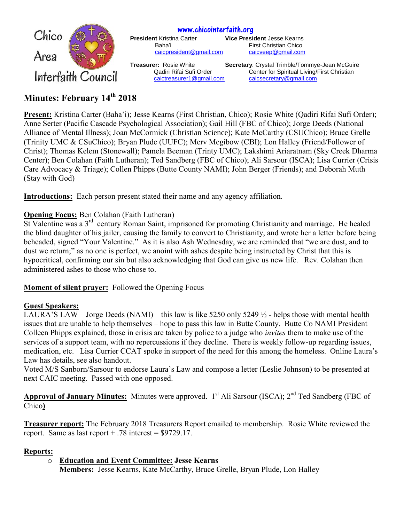

# **Minutes: February 14 th 2018**

**Present:** Kristina Carter (Baha'i); Jesse Kearns (First Christian, Chico); Rosie White (Qadiri Rifai Sufi Order); Anne Serter (Pacific Cascade Psychological Association); Gail Hill (FBC of Chico); Jorge Deeds (National Alliance of Mental Illness); Joan McCormick (Christian Science); Kate McCarthy (CSUChico); Bruce Grelle (Trinity UMC & CSuChico); Bryan Plude (UUFC); Merv Megibow (CBI); Lon Halley (Friend/Follower of Christ); Thomas Kelem (Stonewall); Pamela Beeman (Trinty UMC); Lakshimi Ariaratnam (Sky Creek Dharma Center); Ben Colahan (Faith Lutheran); Ted Sandberg (FBC of Chico); Ali Sarsour (ISCA); Lisa Currier (Crisis Care Advocacy & Triage); Collen Phipps (Butte County NAMI); John Berger (Friends); and Deborah Muth (Stay with God)

**Introductions:** Each person present stated their name and any agency affiliation.

## **Opening Focus:** Ben Colahan (Faith Lutheran)

St Valentine was a 3<sup>rd</sup> century Roman Saint, imprisoned for promoting Christianity and marriage. He healed the blind daughter of his jailer, causing the family to convert to Christianity, and wrote her a letter before being beheaded, signed "Your Valentine." As it is also Ash Wednesday, we are reminded that "we are dust, and to dust we return;" as no one is perfect, we anoint with ashes despite being instructed by Christ that this is hypocritical, confirming our sin but also acknowledging that God can give us new life. Rev. Colahan then administered ashes to those who chose to.

**Moment of silent prayer:** Followed the Opening Focus

## **Guest Speakers:**

LAURA'S LAW Jorge Deeds (NAMI) – this law is like 5250 only 5249  $\frac{1}{2}$  - helps those with mental health issues that are unable to help themselves – hope to pass this law in Butte County. Butte Co NAMI President Colleen Phipps explained, those in crisis are taken by police to a judge who *invites* them to make use of the services of a support team, with no repercussions if they decline. There is weekly follow-up regarding issues, medication, etc. Lisa Currier CCAT spoke in support of the need for this among the homeless. Online Laura's Law has details, see also handout.

Voted M/S Sanborn/Sarsour to endorse Laura's Law and compose a letter (Leslie Johnson) to be presented at next CAIC meeting. Passed with one opposed.

Approval of January Minutes: Minutes were approved. 1<sup>st</sup> Ali Sarsour (ISCA); 2<sup>nd</sup> Ted Sandberg (FBC of Chico**)**

**Treasurer report:** The February 2018 Treasurers Report emailed to membership. Rosie White reviewed the report. Same as last report  $+ .78$  interest  $=$  \$9729.17.

## **Reports:**

o **Education and Event Committee: Jesse Kearns**

**Members:** Jesse Kearns, Kate McCarthy, Bruce Grelle, Bryan Plude, Lon Halley